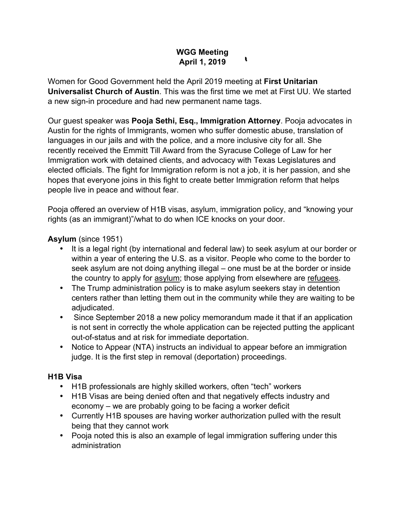# **WGG Meeting April 1, 2019**

 $\bullet$ 

Women for Good Government held the April 2019 meeting at **First Unitarian Universalist Church of Austin**. This was the first time we met at First UU. We started a new sign-in procedure and had new permanent name tags.

Our guest speaker was **Pooja Sethi, Esq., Immigration Attorney**. Pooja advocates in Austin for the rights of Immigrants, women who suffer domestic abuse, translation of languages in our jails and with the police, and a more inclusive city for all. She recently received the Emmitt Till Award from the Syracuse College of Law for her Immigration work with detained clients, and advocacy with Texas Legislatures and elected officials. The fight for Immigration reform is not a job, it is her passion, and she hopes that everyone joins in this fight to create better Immigration reform that helps people live in peace and without fear.

Pooja offered an overview of H1B visas, asylum, immigration policy, and "knowing your rights (as an immigrant)"/what to do when ICE knocks on your door.

# **Asylum** (since 1951)

- It is a legal right (by international and federal law) to seek asylum at our border or within a year of entering the U.S. as a visitor. People who come to the border to seek asylum are not doing anything illegal – one must be at the border or inside the country to apply for asylum; those applying from elsewhere are refugees.
- The Trump administration policy is to make asylum seekers stay in detention centers rather than letting them out in the community while they are waiting to be adjudicated.
- Since September 2018 a new policy memorandum made it that if an application is not sent in correctly the whole application can be rejected putting the applicant out-of-status and at risk for immediate deportation.
- Notice to Appear (NTA) instructs an individual to appear before an immigration judge. It is the first step in removal (deportation) proceedings.

# **H1B Visa**

- H1B professionals are highly skilled workers, often "tech" workers
- H1B Visas are being denied often and that negatively effects industry and economy – we are probably going to be facing a worker deficit
- Currently H1B spouses are having worker authorization pulled with the result being that they cannot work
- Pooja noted this is also an example of legal immigration suffering under this administration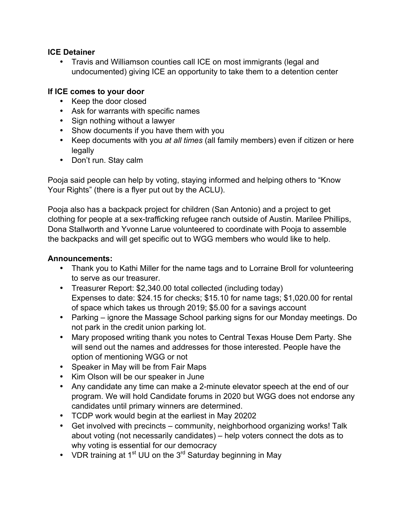### **ICE Detainer**

• Travis and Williamson counties call ICE on most immigrants (legal and undocumented) giving ICE an opportunity to take them to a detention center

### **If ICE comes to your door**

- Keep the door closed
- Ask for warrants with specific names
- Sign nothing without a lawyer
- Show documents if you have them with you
- Keep documents with you *at all times* (all family members) even if citizen or here legally
- Don't run. Stay calm

Pooja said people can help by voting, staying informed and helping others to "Know Your Rights" (there is a flyer put out by the ACLU).

Pooja also has a backpack project for children (San Antonio) and a project to get clothing for people at a sex-trafficking refugee ranch outside of Austin. Marilee Phillips, Dona Stallworth and Yvonne Larue volunteered to coordinate with Pooja to assemble the backpacks and will get specific out to WGG members who would like to help.

# **Announcements:**

- Thank you to Kathi Miller for the name tags and to Lorraine Broll for volunteering to serve as our treasurer.
- Treasurer Report: \$2,340.00 total collected (including today) Expenses to date: \$24.15 for checks; \$15.10 for name tags; \$1,020.00 for rental of space which takes us through 2019; \$5.00 for a savings account
- Parking ignore the Massage School parking signs for our Monday meetings. Do not park in the credit union parking lot.
- Mary proposed writing thank you notes to Central Texas House Dem Party. She will send out the names and addresses for those interested. People have the option of mentioning WGG or not
- Speaker in May will be from Fair Maps
- Kim Olson will be our speaker in June
- Any candidate any time can make a 2-minute elevator speech at the end of our program. We will hold Candidate forums in 2020 but WGG does not endorse any candidates until primary winners are determined.
- TCDP work would begin at the earliest in May 20202
- Get involved with precincts community, neighborhood organizing works! Talk about voting (not necessarily candidates) – help voters connect the dots as to why voting is essential for our democracy
- VDR training at 1<sup>st</sup> UU on the 3<sup>rd</sup> Saturday beginning in May